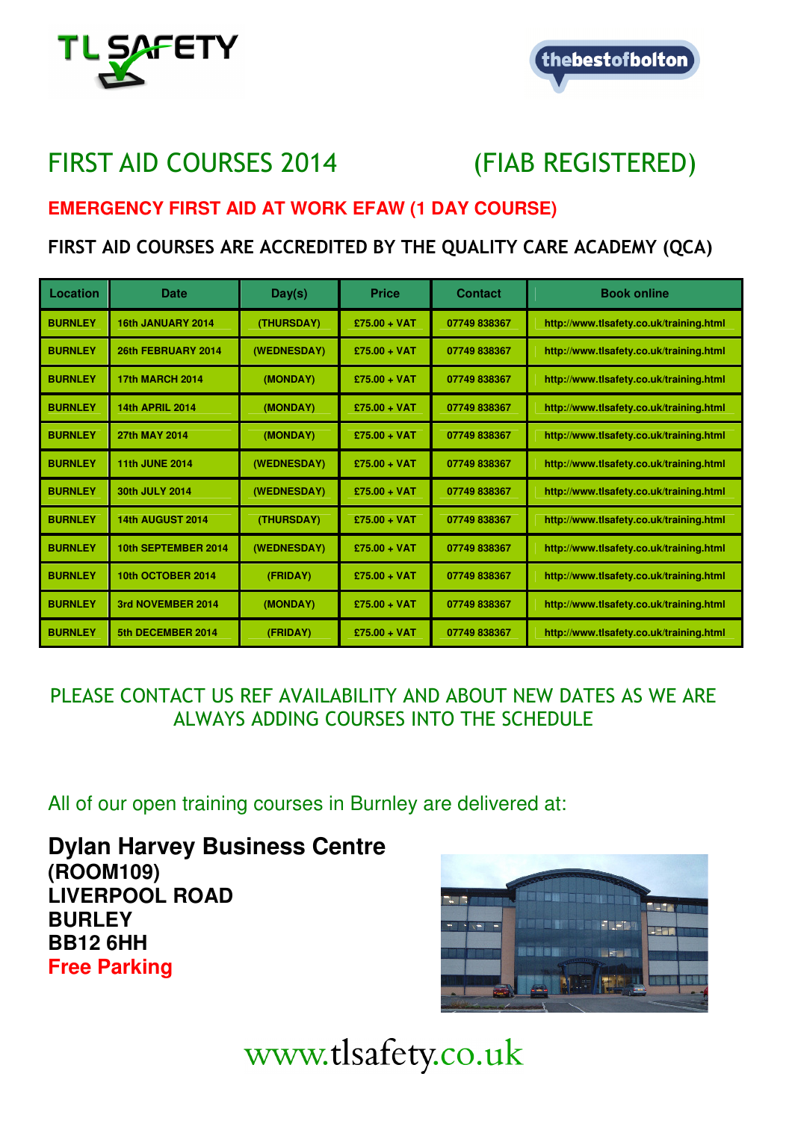



# FIRST AID COURSES 2014 (FIAB REGISTERED)

## **EMERGENCY FIRST AID AT WORK EFAW (1 DAY COURSE)**

# FIRST AID COURSES ARE ACCREDITED BY THE QUALITY CARE ACADEMY (QCA)

| Location       | Date                   | Day(s)      | <b>Price</b>   | <b>Contact</b> | <b>Book online</b>                      |
|----------------|------------------------|-------------|----------------|----------------|-----------------------------------------|
| <b>BURNLEY</b> | 16th JANUARY 2014      | (THURSDAY)  | $£75.00 + VAT$ | 07749838367    | http://www.tlsafety.co.uk/training.html |
| <b>BURNLEY</b> | 26th FEBRUARY 2014     | (WEDNESDAY) | $£75.00 + VAT$ | 07749838367    | http://www.tlsafety.co.uk/training.html |
| <b>BURNLEY</b> | <b>17th MARCH 2014</b> | (MONDAY)    | $£75.00 + VAT$ | 07749838367    | http://www.tlsafety.co.uk/training.html |
| <b>BURNLEY</b> | <b>14th APRIL 2014</b> | (MONDAY)    | $£75.00 + VAT$ | 07749838367    | http://www.tlsafety.co.uk/training.html |
| <b>BURNLEY</b> | 27th MAY 2014          | (MONDAY)    | $£75.00 + VAT$ | 07749838367    | http://www.tlsafety.co.uk/training.html |
| <b>BURNLEY</b> | <b>11th JUNE 2014</b>  | (WEDNESDAY) | $£75.00 + VAT$ | 07749838367    | http://www.tlsafety.co.uk/training.html |
| <b>BURNLEY</b> | 30th JULY 2014         | (WEDNESDAY) | $£75.00 + VAT$ | 07749838367    | http://www.tlsafety.co.uk/training.html |
| <b>BURNLEY</b> | 14th AUGUST 2014       | (THURSDAY)  | $£75.00 + VAT$ | 07749838367    | http://www.tlsafety.co.uk/training.html |
| <b>BURNLEY</b> | 10th SEPTEMBER 2014    | (WEDNESDAY) | $£75.00 + VAT$ | 07749838367    | http://www.tlsafety.co.uk/training.html |
| <b>BURNLEY</b> | 10th OCTOBER 2014      | (FRIDAY)    | $£75.00 + VAT$ | 07749838367    | http://www.tlsafety.co.uk/training.html |
| <b>BURNLEY</b> | 3rd NOVEMBER 2014      | (MONDAY)    | $£75.00 + VAT$ | 07749838367    | http://www.tlsafety.co.uk/training.html |
| <b>BURNLEY</b> | 5th DECEMBER 2014      | (FRIDAY)    | $£75.00 + VAT$ | 07749838367    | http://www.tlsafety.co.uk/training.html |

## PLEASE CONTACT US REF AVAILABILITY AND ABOUT NEW DATES AS WE ARE ALWAYS ADDING COURSES INTO THE SCHEDULE

All of our open training courses in Burnley are delivered at:

**Dylan Harvey Business Centre (ROOM109) LIVERPOOL ROAD BURLEY BB12 6HH Free Parking** 

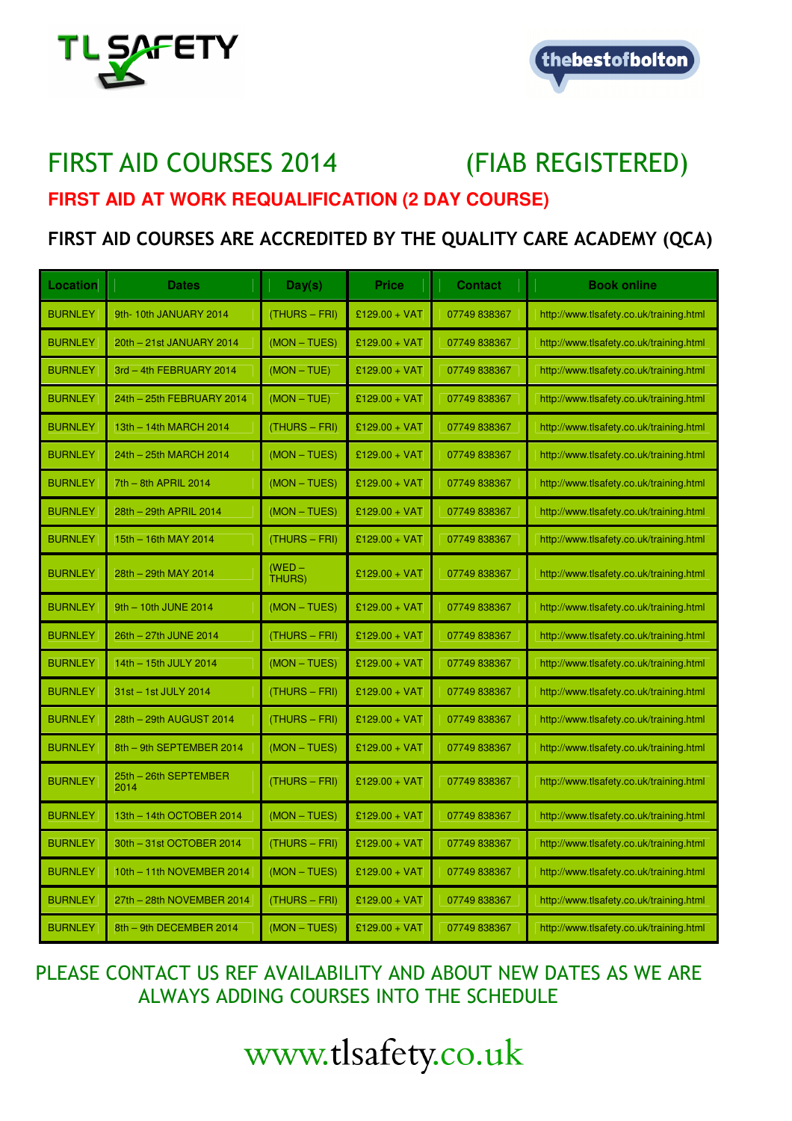



# FIRST AID COURSES 2014 (FIAB REGISTERED) **FIRST AID AT WORK REQUALIFICATION (2 DAY COURSE)**

# FIRST AID COURSES ARE ACCREDITED BY THE QUALITY CARE ACADEMY (QCA)

| Location       | <b>Dates</b>                  | Day(s)             | <b>Price</b>    | <b>Contact</b> | <b>Book online</b>                      |
|----------------|-------------------------------|--------------------|-----------------|----------------|-----------------------------------------|
| <b>BURNLEY</b> | 9th-10th JANUARY 2014         | (THURS - FRI)      | £129.00 + VAT   | 07749838367    | http://www.tlsafety.co.uk/training.html |
| <b>BURNLEY</b> | 20th - 21st JANUARY 2014      | (MON-TUES)         | £129.00 + VAT   | 07749 838367   | http://www.tlsafety.co.uk/training.html |
| <b>BURNLEY</b> | 3rd - 4th FEBRUARY 2014       | $(MON - TUE)$      | £129.00 + VAT   | 07749 838367   | http://www.tlsafety.co.uk/training.html |
| <b>BURNLEY</b> | 24th - 25th FEBRUARY 2014     | $(MON - TUE)$      | £129.00 + VAT   | 07749 838367   | http://www.tlsafety.co.uk/training.html |
| <b>BURNLEY</b> | 13th - 14th MARCH 2014        | (THURS - FRI)      | £129.00 + VAT   | 07749 838367   | http://www.tlsafety.co.uk/training.html |
| <b>BURNLEY</b> | 24th - 25th MARCH 2014        | (MON - TUES)       | £129.00 + VAT   | 07749 838367   | http://www.tlsafety.co.uk/training.html |
| <b>BURNLEY</b> | 7th - 8th APRIL 2014          | (MON - TUES)       | £129.00 + VAT   | 07749 838367   | http://www.tlsafety.co.uk/training.html |
| <b>BURNLEY</b> | 28th - 29th APRIL 2014        | (MON - TUES)       | £129.00 + VAT   | 07749 838367   | http://www.tlsafety.co.uk/training.html |
| <b>BURNLEY</b> | 15th - 16th MAY 2014          | $(THURS - FRI)$    | £129.00 + VAT   | 07749 838367   | http://www.tlsafety.co.uk/training.html |
| <b>BURNLEY</b> | 28th - 29th MAY 2014          | $(WED -$<br>THURS) | £129.00 + VAT   | 07749838367    | http://www.tlsafety.co.uk/training.html |
| <b>BURNLEY</b> | 9th - 10th JUNE 2014          | (MON - TUES)       | £129.00 + VAT   | 07749 838367   | http://www.tlsafety.co.uk/training.html |
| <b>BURNLEY</b> | 26th - 27th JUNE 2014         | $(THURS - FRI)$    | £129.00 + VAT   | 07749 838367   | http://www.tlsafety.co.uk/training.html |
| <b>BURNLEY</b> | 14th - 15th JULY 2014         | (MON - TUES)       | £129.00 + VAT   | 07749 838367   | http://www.tlsafety.co.uk/training.html |
| <b>BURNLEY</b> | 31st - 1st JULY 2014          | $(THURS - FRI)$    | £129.00 + VAT   | 07749 838367   | http://www.tlsafety.co.uk/training.html |
| <b>BURNLEY</b> | 28th - 29th AUGUST 2014       | $(THURS - FRI)$    | £129.00 + VAT   | 07749 838367   | http://www.tlsafety.co.uk/training.html |
| <b>BURNLEY</b> | 8th - 9th SEPTEMBER 2014      | (MON - TUES)       | £129.00 + VAT   | 07749 838367   | http://www.tlsafety.co.uk/training.html |
| <b>BURNLEY</b> | 25th - 26th SEPTEMBER<br>2014 | (THURS – FRI)      | $£129.00 + VAT$ | 07749 838367   | http://www.tlsafety.co.uk/training.html |
| <b>BURNLEY</b> | 13th - 14th OCTOBER 2014      | $(MON - TUES)$     | £129.00 + VAT   | 07749 838367   | http://www.tlsafety.co.uk/training.html |
| <b>BURNLEY</b> | 30th - 31st OCTOBER 2014      | (THURS - FRI)      | £129.00 + VAT   | 07749 838367   | http://www.tlsafety.co.uk/training.html |
| <b>BURNLEY</b> | 10th - 11th NOVEMBER 2014     | (MON - TUES)       | £129.00 + VAT   | 07749 838367   | http://www.tlsafety.co.uk/training.html |
| <b>BURNLEY</b> | 27th - 28th NOVEMBER 2014     | (THURS - FRI)      | £129.00 + VAT   | 07749 838367   | http://www.tlsafety.co.uk/training.html |
| <b>BURNLEY</b> | 8th - 9th DECEMBER 2014       | (MON - TUES)       | £129.00 + VAT   | 07749 838367   | http://www.tlsafety.co.uk/training.html |

## PLEASE CONTACT US REF AVAILABILITY AND ABOUT NEW DATES AS WE ARE ALWAYS ADDING COURSES INTO THE SCHEDULE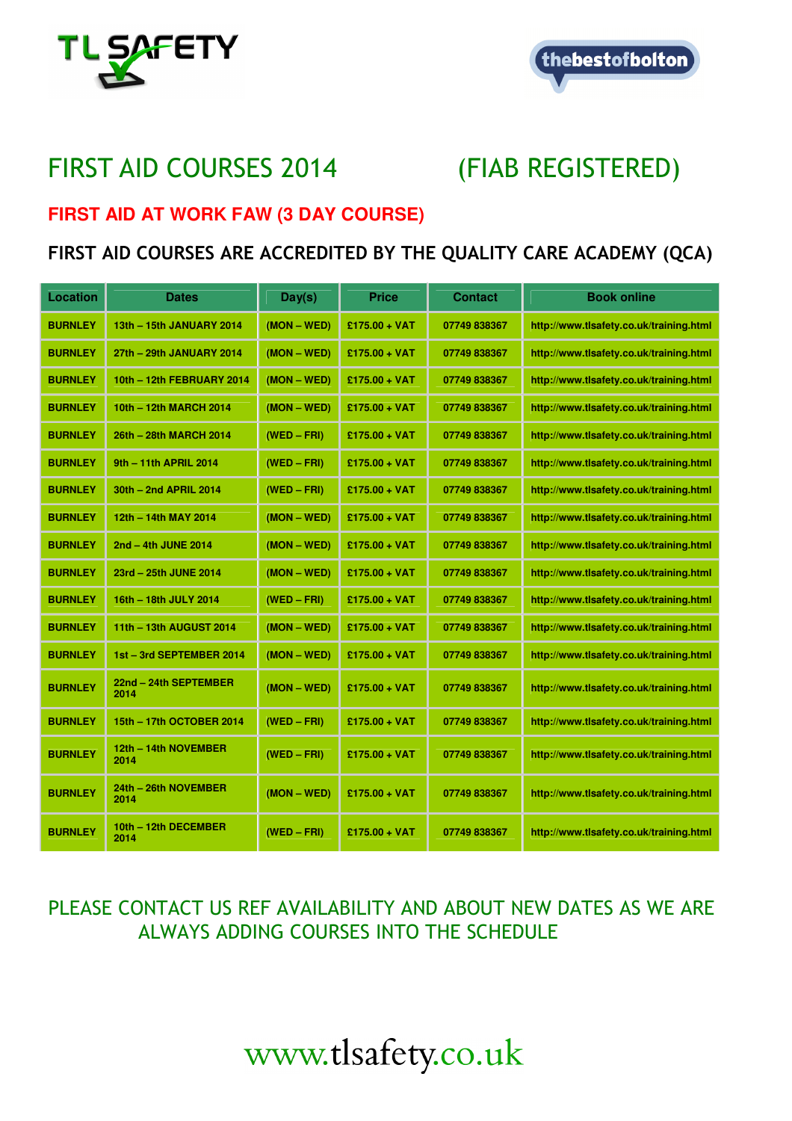



# FIRST AID COURSES 2014 (FIAB REGISTERED)

# **FIRST AID AT WORK FAW (3 DAY COURSE)**

# FIRST AID COURSES ARE ACCREDITED BY THE QUALITY CARE ACADEMY (QCA)

| Location       | <b>Dates</b>                  | Day(s)        | <b>Price</b>    | Contact      | <b>Book online</b>                      |
|----------------|-------------------------------|---------------|-----------------|--------------|-----------------------------------------|
| <b>BURNLEY</b> | 13th - 15th JANUARY 2014      | $(MON - WED)$ | $£175.00 + VAT$ | 07749 838367 | http://www.tlsafety.co.uk/training.html |
| <b>BURNLEY</b> | 27th - 29th JANUARY 2014      | $(MON - WED)$ | $£175.00 + VAT$ | 07749 838367 | http://www.tlsafety.co.uk/training.html |
| <b>BURNLEY</b> | 10th - 12th FEBRUARY 2014     | $(MON - WED)$ | $£175.00 + VAT$ | 07749 838367 | http://www.tlsafety.co.uk/training.html |
| <b>BURNLEY</b> | 10th - 12th MARCH 2014        | $(MON - WED)$ | $£175.00 + VAT$ | 07749 838367 | http://www.tlsafety.co.uk/training.html |
| <b>BURNLEY</b> | 26th - 28th MARCH 2014        | $(WED - FRI)$ | $£175.00 + VAT$ | 07749 838367 | http://www.tlsafety.co.uk/training.html |
| <b>BURNLEY</b> | 9th - 11th APRIL 2014         | $(WED - FRI)$ | $£175.00 + VAT$ | 07749 838367 | http://www.tlsafety.co.uk/training.html |
| <b>BURNLEY</b> | 30th - 2nd APRIL 2014         | $(WED - FRI)$ | $£175.00 + VAT$ | 07749 838367 | http://www.tlsafety.co.uk/training.html |
| <b>BURNLEY</b> | 12th - 14th MAY 2014          | $(MON - WED)$ | $£175.00 + VAT$ | 07749 838367 | http://www.tlsafety.co.uk/training.html |
| <b>BURNLEY</b> | 2nd - 4th JUNE 2014           | $(MON - WED)$ | $£175.00 + VAT$ | 07749 838367 | http://www.tlsafety.co.uk/training.html |
| <b>BURNLEY</b> | 23rd - 25th JUNE 2014         | $(MON - WED)$ | $£175.00 + VAT$ | 07749 838367 | http://www.tlsafety.co.uk/training.html |
| <b>BURNLEY</b> | 16th - 18th JULY 2014         | $(WED - FRI)$ | $£175.00 + VAT$ | 07749 838367 | http://www.tlsafety.co.uk/training.html |
| <b>BURNLEY</b> | 11th - 13th AUGUST 2014       | $(MON - WED)$ | $£175.00 + VAT$ | 07749 838367 | http://www.tlsafety.co.uk/training.html |
| <b>BURNLEY</b> | 1st - 3rd SEPTEMBER 2014      | $(MON - WED)$ | $£175.00 + VAT$ | 07749 838367 | http://www.tlsafety.co.uk/training.html |
| <b>BURNLEY</b> | 22nd - 24th SEPTEMBER<br>2014 | $(MON - WED)$ | $£175.00 + VAT$ | 07749 838367 | http://www.tlsafety.co.uk/training.html |
| <b>BURNLEY</b> | 15th - 17th OCTOBER 2014      | $(WED - FRI)$ | $£175.00 + VAT$ | 07749 838367 | http://www.tlsafety.co.uk/training.html |
| <b>BURNLEY</b> | 12th - 14th NOVEMBER<br>2014  | (WED – FRI)   | $£175.00 + VAT$ | 07749 838367 | http://www.tlsafety.co.uk/training.html |
| <b>BURNLEY</b> | 24th - 26th NOVEMBER<br>2014  | $(MON - WED)$ | $£175.00 + VAT$ | 07749 838367 | http://www.tlsafety.co.uk/training.html |
| <b>BURNLEY</b> | 10th - 12th DECEMBER<br>2014  | $(WED - FRI)$ | $£175.00 + VAT$ | 07749 838367 | http://www.tlsafety.co.uk/training.html |

# PLEASE CONTACT US REF AVAILABILITY AND ABOUT NEW DATES AS WE ARE ALWAYS ADDING COURSES INTO THE SCHEDULE